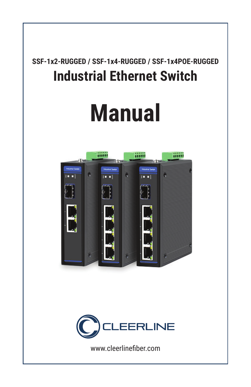## **SSF-1x2-RUGGED / SSF-1x4-RUGGED / SSF-1x4POE-RUGGED Industrial Ethernet Switch**

# **Manual**





www.cleerlinefiber.com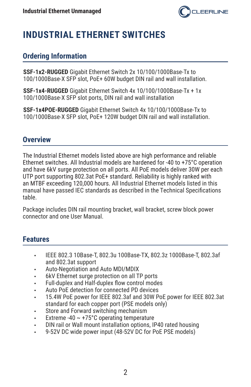

### **INDUSTRIAL ETHERNET SWITCHES**

#### **Ordering Information**

**SSF-1x2-RUGGED** Gigabit Ethernet Switch 2x 10/100/1000Base-Tx to 100/1000Base-X SFP slot, PoE+ 60W budget DIN rail and wall installation.

**SSF-1x4-RUGGED** Gigabit Ethernet Switch 4x 10/100/1000Base-Tx + 1x 100/1000Base-X SFP slot ports, DIN rail and wall installation

**SSF-1x4POE-RUGGED** Gigabit Ethernet Switch 4x 10/100/1000Base-Tx to 100/1000Base-X SFP slot, PoE+ 120W budget DIN rail and wall installation.

#### **Overview**

The Industrial Ethernet models listed above are high performance and reliable Ethernet switches. All Industrial models are hardened for -40 to +75°C operation and have 6kV surge protection on all ports. All PoE models deliver 30W per each UTP port supporting 802.3at PoE+ standard. Reliability is highly ranked with an MTBF exceeding 120,000 hours. All Industrial Ethernet models listed in this manual have passed IEC standards as described in the Technical Specifications table.

Package includes DIN rail mounting bracket, wall bracket, screw block power connector and one User Manual.

#### **Features**

- IEEE 802.3 10Base-T, 802.3u 100Base-TX, 802.3z 1000Base-T, 802.3af and 802.3at support
- Auto-Negotiation and Auto MDI/MDIX
- 6kV Ethernet surge protection on all TP ports
- Full-duplex and Half-duplex flow control modes
- Auto PoE detection for connected PD devices
- 15.4W PoE power for IEEE 802.3af and 30W PoE power for IEEE 802.3at standard for each copper port (PSE models only)
- Store and Forward switching mechanism
- Extreme -40  $\sim$  +75°C operating temperature
- DIN rail or Wall mount installation options, IP40 rated housing
- 9-52V DC wide power input (48-52V DC for PoE PSE models)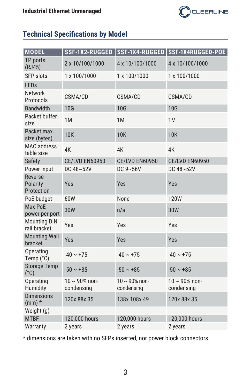

#### **Technical Specifications by Model**

| <b>MODEL</b>                         |                                   |                                   | SSF-1X2-RUGGED   SSF-1X4-RUGGED   SSF-1X4RUGGED-POE |
|--------------------------------------|-----------------------------------|-----------------------------------|-----------------------------------------------------|
| TP ports<br>(RJ45)                   | 2 x 10/100/1000                   | 4 x 10/100/1000                   | 4 x 10/100/1000                                     |
| <b>SFP slots</b>                     | 1 x 100/1000                      | 1 x 100/1000                      | 1 x 100/1000                                        |
| LEDs                                 |                                   |                                   |                                                     |
| <b>Network</b><br>Protocols          | CSMA/CD                           | CSMA/CD                           | CSMA/CD                                             |
| <b>Bandwidth</b>                     | <b>10G</b>                        | <b>10G</b>                        | <b>10G</b>                                          |
| Packet buffer<br>size                | 1M                                | 1M                                | 1M                                                  |
| Packet max.<br>size (bytes)          | <b>10K</b>                        | <b>10K</b>                        | <b>10K</b>                                          |
| <b>MAC</b> address<br>table size     | 4K                                | 4K                                | 4K                                                  |
| Safety                               | <b>CE/LVD EN60950</b>             | <b>CE/LVD EN60950</b>             | <b>CE/LVD EN60950</b>                               |
| Power input                          | DC 48~52V                         | DC $9~56V$                        | DC 48~52V                                           |
| Reverse<br>Polarity<br>Protection    | Yes                               | Yes                               | Yes                                                 |
| PoE budget                           | 60W                               | None                              | <b>120W</b>                                         |
| Max PoE<br>power per port            | <b>30W</b>                        | n/a                               | 30W                                                 |
| <b>Mounting DIN</b><br>rail bracket  | Yes                               | Yes                               | Yes                                                 |
| <b>Mounting Wall</b><br>bracket      | Yes                               | Yes                               | Yes                                                 |
| Operating<br>Temp (°C)               | $-40 \sim +75$                    | $-40 \sim +75$                    | $-40 \sim +75$                                      |
| <b>Storage Temp</b><br>$(^{\circ}C)$ | $-50 - 185$                       | $-50 \sim +85$                    | $-50 \sim +85$                                      |
| Operating<br>Humidity                | $10 \sim 90\%$ non-<br>condensing | $10 \sim 90\%$ non-<br>condensing | $10 \sim 90\%$ non-<br>condensing                   |
| <b>Dimensions</b><br>$(mm)$ *        | 120x 88x 35                       | 138x 108x 49                      | 120x 88x 35                                         |
| Weight (g)                           |                                   |                                   |                                                     |
| <b>MTBF</b>                          | 120,000 hours                     | 120,000 hours                     | 120,000 hours                                       |
| Warranty                             | 2 years                           | 2 years                           | 2 years                                             |

\* dimensions are taken with no SFPs inserted, nor power block connectors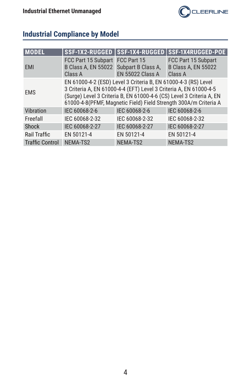

#### **Industrial Compliance by Model**

| <b>MODEL</b>           |                                                                                                                                                                                                                                                                                 |                         | SSF-1X2-RUGGED   SSF-1X4-RUGGED   SSF-1X4RUGGED-POE          |
|------------------------|---------------------------------------------------------------------------------------------------------------------------------------------------------------------------------------------------------------------------------------------------------------------------------|-------------------------|--------------------------------------------------------------|
| <b>EMI</b>             | FCC Part 15 Subpart FCC Part 15<br>B Class A, EN 55022 Subpart B Class A,<br>Class A                                                                                                                                                                                            | <b>EN 55022 Class A</b> | FCC Part 15 Subpart<br><b>B Class A, EN 55022</b><br>Class A |
| <b>EMS</b>             | EN 61000-4-2 (ESD) Level 3 Criteria B, EN 61000-4-3 (RS) Level<br>3 Criteria A, EN 61000-4-4 (EFT) Level 3 Criteria A, EN 61000-4-5<br>(Surge) Level 3 Criteria B, EN 61000-4-6 (CS) Level 3 Criteria A, EN<br>61000-4-8(PFMF, Magnetic Field) Field Strength 300A/m Criteria A |                         |                                                              |
| Vibration              | IEC 60068-2-6                                                                                                                                                                                                                                                                   | IEC 60068-2-6           | IEC 60068-2-6                                                |
| Freefall               | IEC 60068-2-32                                                                                                                                                                                                                                                                  | IEC 60068-2-32          | IEC 60068-2-32                                               |
| <b>Shock</b>           | IEC 60068-2-27                                                                                                                                                                                                                                                                  | IEC 60068-2-27          | IEC 60068-2-27                                               |
| Rail Traffic           | EN 50121-4                                                                                                                                                                                                                                                                      | EN 50121-4              | EN 50121-4                                                   |
| <b>Traffic Control</b> | NEMA-TS2                                                                                                                                                                                                                                                                        | NEMA-TS2                | NEMA-TS2                                                     |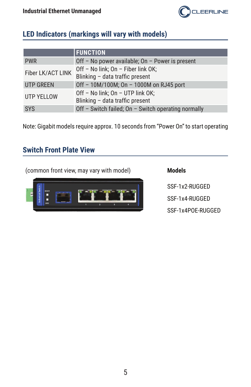

#### **LED Indicators (markings will vary with models)**

|                   | <b>FUNCTION</b>                                                       |
|-------------------|-----------------------------------------------------------------------|
| <b>PWR</b>        | Off - No power available; On - Power is present                       |
| Fiber LK/ACT LINK | Off - No link; On - Fiber link OK;<br>Blinking - data traffic present |
| <b>UTP GREEN</b>  | Off - 10M/100M; On - 1000M on RJ45 port                               |
| <b>UTP YELLOW</b> | Off - No link; On - UTP link OK;<br>Blinking - data traffic present   |
| <b>SYS</b>        | Off - Switch failed; On - Switch operating normally                   |

Note: Gigabit models require approx. 10 seconds from "Power On" to start operating

#### **Switch Front Plate View**

(common front view, may vary with model) **Models**



SSF-1x2-RUGGED SSF-1x4-RUGGED

SSF-1x4POE-RUGGED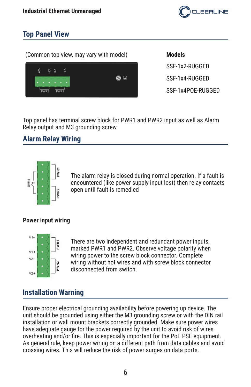

#### **Top Panel View**

(Common top view, may vary with model) **Models**



SSF-1x2-RUGGED SSF-1x4-RUGGED SSF-1x4POE-RUGGED

Top panel has terminal screw block for PWR1 and PWR2 input as well as Alarm Relay output and M3 grounding screw.

#### **Alarm Relay Wiring**



The alarm relay is closed during normal operation. If a fault is encountered (like power supply input lost) then relay contacts open until fault is remedied

#### **Power input wiring**



There are two independent and redundant power inputs, marked PWR1 and PWR2. Observe voltage polarity when wiring power to the screw block connector. Complete wiring without hot wires and with screw block connector disconnected from switch.

#### **Installation Warning**

Ensure proper electrical grounding availability before powering up device. The unit should be grounded using either the M3 grounding screw or with the DIN rail installation or wall mount brackets correctly grounded. Make sure power wires have adequate gauge for the power required by the unit to avoid risk of wires overheating and/or fire. This is especially important for the PoE PSE equipment. As general rule, keep power wiring on a different path from data cables and avoid crossing wires. This will reduce the risk of power surges on data ports.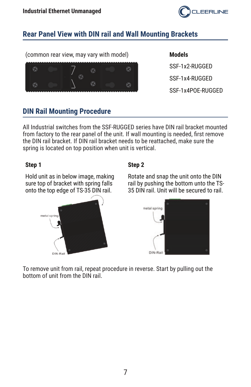

#### **Rear Panel View with DIN rail and Wall Mounting Brackets**

(common rear view, may vary with model) **Models**



SSF-1x2-RUGGED SSF-1x4-RUGGED SSF-1x4POE-RUGGED

#### **DIN Rail Mounting Procedure**

All Industrial switches from the SSF-RUGGED series have DIN rail bracket mounted from factory to the rear panel of the unit. If wall mounting is needed, first remove the DIN rail bracket. If DIN rail bracket needs to be reattached, make sure the spring is located on top position when unit is vertical.

#### **Step 1 Step 2**

Hold unit as in below image, making sure top of bracket with spring falls onto the top edge of TS-35 DIN rail.



Rotate and snap the unit onto the DIN rail by pushing the bottom unto the TS-35 DIN rail. Unit will be secured to rail.



To remove unit from rail, repeat procedure in reverse. Start by pulling out the bottom of unit from the DIN rail.